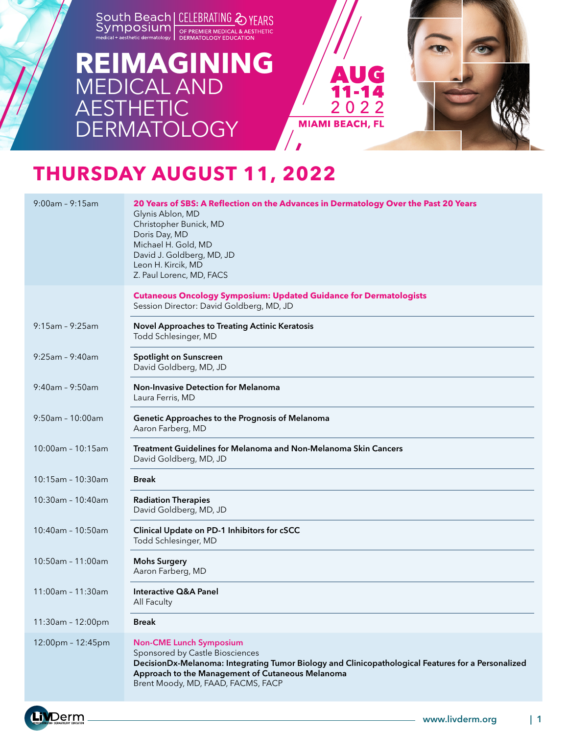

### **REIMAGINING** MEDICAL AND **AESTHETIC DERMATOLOGY**



# **THURSDAY AUGUST 11, 2022**

| $9:00am - 9:15am$     | 20 Years of SBS: A Reflection on the Advances in Dermatology Over the Past 20 Years<br>Glynis Ablon, MD<br>Christopher Bunick, MD<br>Doris Day, MD<br>Michael H. Gold, MD<br>David J. Goldberg, MD, JD<br>Leon H. Kircik, MD<br>Z. Paul Lorenc, MD, FACS          |
|-----------------------|-------------------------------------------------------------------------------------------------------------------------------------------------------------------------------------------------------------------------------------------------------------------|
|                       | <b>Cutaneous Oncology Symposium: Updated Guidance for Dermatologists</b><br>Session Director: David Goldberg, MD, JD                                                                                                                                              |
| $9:15$ am - $9:25$ am | <b>Novel Approaches to Treating Actinic Keratosis</b><br>Todd Schlesinger, MD                                                                                                                                                                                     |
| $9:25$ am - $9:40$ am | <b>Spotlight on Sunscreen</b><br>David Goldberg, MD, JD                                                                                                                                                                                                           |
| 9:40am - 9:50am       | <b>Non-Invasive Detection for Melanoma</b><br>Laura Ferris, MD                                                                                                                                                                                                    |
| $9:50$ am - 10:00am   | Genetic Approaches to the Prognosis of Melanoma<br>Aaron Farberg, MD                                                                                                                                                                                              |
| 10:00am - 10:15am     | Treatment Guidelines for Melanoma and Non-Melanoma Skin Cancers<br>David Goldberg, MD, JD                                                                                                                                                                         |
| $10:15$ am - 10:30am  | <b>Break</b>                                                                                                                                                                                                                                                      |
| 10:30am - 10:40am     | <b>Radiation Therapies</b><br>David Goldberg, MD, JD                                                                                                                                                                                                              |
| 10:40am - 10:50am     | Clinical Update on PD-1 Inhibitors for cSCC<br>Todd Schlesinger, MD                                                                                                                                                                                               |
| 10:50am - 11:00am     | <b>Mohs Surgery</b><br>Aaron Farberg, MD                                                                                                                                                                                                                          |
| $11:00am - 11:30am$   | Interactive Q&A Panel<br>All Faculty                                                                                                                                                                                                                              |
| 11:30am - 12:00pm     | <b>Break</b>                                                                                                                                                                                                                                                      |
| 12:00pm - 12:45pm     | <b>Non-CME Lunch Symposium</b><br>Sponsored by Castle Biosciences<br>DecisionDx-Melanoma: Integrating Tumor Biology and Clinicopathological Features for a Personalized<br>Approach to the Management of Cutaneous Melanoma<br>Brent Moody, MD, FAAD, FACMS, FACP |

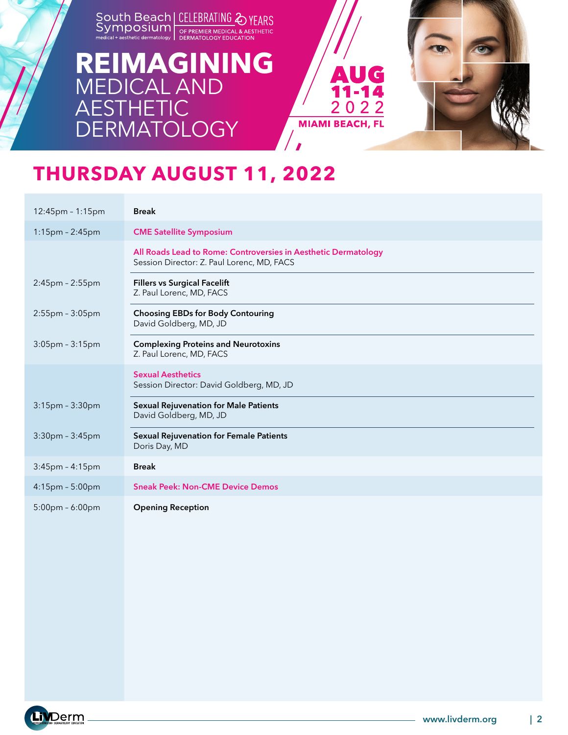### **REIMAGINING** MEDICAL AND **AESTHETIC DERMATOLOGY**



# **THURSDAY AUGUST 11, 2022**

| $12:45$ pm - 1:15pm   | <b>Break</b>                                                                                                 |
|-----------------------|--------------------------------------------------------------------------------------------------------------|
| 1:15pm - 2:45pm       | <b>CME Satellite Symposium</b>                                                                               |
|                       | All Roads Lead to Rome: Controversies in Aesthetic Dermatology<br>Session Director: Z. Paul Lorenc, MD, FACS |
| $2:45$ pm - $2:55$ pm | <b>Fillers vs Surgical Facelift</b><br>Z. Paul Lorenc, MD, FACS                                              |
| $2:55$ pm - $3:05$ pm | <b>Choosing EBDs for Body Contouring</b><br>David Goldberg, MD, JD                                           |
| $3:05$ pm - $3:15$ pm | <b>Complexing Proteins and Neurotoxins</b><br>Z. Paul Lorenc, MD, FACS                                       |
|                       | <b>Sexual Aesthetics</b><br>Session Director: David Goldberg, MD, JD                                         |
| 3:15pm - 3:30pm       | <b>Sexual Rejuvenation for Male Patients</b><br>David Goldberg, MD, JD                                       |
| $3:30$ pm - $3:45$ pm | <b>Sexual Rejuvenation for Female Patients</b><br>Doris Day, MD                                              |
| $3:45$ pm - $4:15$ pm | <b>Break</b>                                                                                                 |
| 4:15pm - 5:00pm       | <b>Sneak Peek: Non-CME Device Demos</b>                                                                      |
| $5:00$ pm - 6:00pm    | <b>Opening Reception</b>                                                                                     |

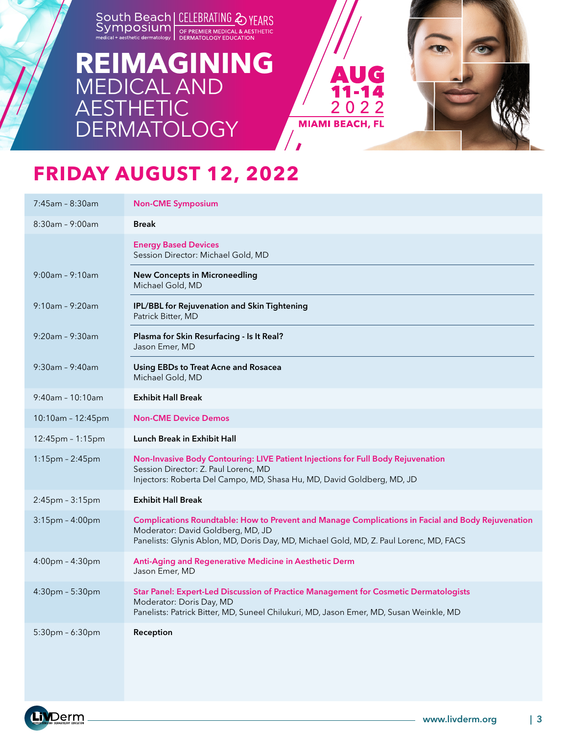### **[REIMAGINING](https://www.livderm.org/south-beach-symposium-2022/)** MEDICAL AND **AESTHETIC DERMATOLOGY**



# **FRIDAY AUGUST 12, 2022**

| 7:45am - 8:30am       | <b>Non-CME Symposium</b>                                                                                                                                                                                                         |
|-----------------------|----------------------------------------------------------------------------------------------------------------------------------------------------------------------------------------------------------------------------------|
| $8:30$ am - 9:00am    | <b>Break</b>                                                                                                                                                                                                                     |
|                       | <b>Energy Based Devices</b><br>Session Director: Michael Gold, MD                                                                                                                                                                |
| $9:00am - 9:10am$     | <b>New Concepts in Microneedling</b><br>Michael Gold, MD                                                                                                                                                                         |
| $9:10am - 9:20am$     | IPL/BBL for Rejuvenation and Skin Tightening<br>Patrick Bitter, MD                                                                                                                                                               |
| $9:20$ am - $9:30$ am | Plasma for Skin Resurfacing - Is It Real?<br>Jason Emer, MD                                                                                                                                                                      |
| $9:30$ am - $9:40$ am | Using EBDs to Treat Acne and Rosacea<br>Michael Gold, MD                                                                                                                                                                         |
| $9:40$ am - 10:10am   | <b>Exhibit Hall Break</b>                                                                                                                                                                                                        |
| 10:10am - 12:45pm     | <b>Non-CME Device Demos</b>                                                                                                                                                                                                      |
| 12:45pm - 1:15pm      | <b>Lunch Break in Exhibit Hall</b>                                                                                                                                                                                               |
| 1:15pm - 2:45pm       | Non-Invasive Body Contouring: LIVE Patient Injections for Full Body Rejuvenation<br>Session Director: Z. Paul Lorenc, MD<br>Injectors: Roberta Del Campo, MD, Shasa Hu, MD, David Goldberg, MD, JD                               |
| 2:45pm - 3:15pm       | <b>Exhibit Hall Break</b>                                                                                                                                                                                                        |
| 3:15pm - 4:00pm       | Complications Roundtable: How to Prevent and Manage Complications in Facial and Body Rejuvenation<br>Moderator: David Goldberg, MD, JD<br>Panelists: Glynis Ablon, MD, Doris Day, MD, Michael Gold, MD, Z. Paul Lorenc, MD, FACS |
| 4:00pm - 4:30pm       | Anti-Aging and Regenerative Medicine in Aesthetic Derm<br>Jason Emer, MD                                                                                                                                                         |
| $4:30pm - 5:30pm$     | Star Panel: Expert-Led Discussion of Practice Management for Cosmetic Dermatologists<br>Moderator: Doris Day, MD<br>Panelists: Patrick Bitter, MD, Suneel Chilukuri, MD, Jason Emer, MD, Susan Weinkle, MD                       |
| 5:30pm - 6:30pm       | Reception                                                                                                                                                                                                                        |

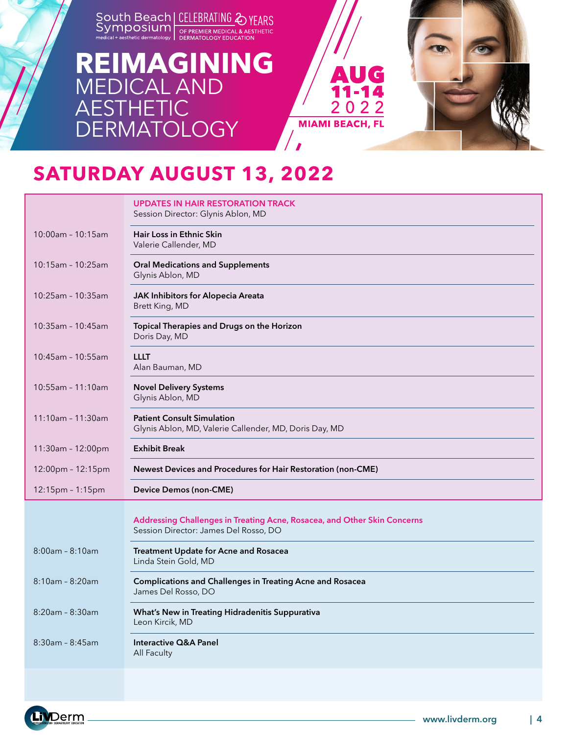### **[REIMAGINING](https://www.livderm.org/south-beach-symposium-2022/)** MEDICAL AND **AESTHETIC DERMATOLOGY**



### **SATURDAY AUGUST 13, 2022**

|                       | <b>UPDATES IN HAIR RESTORATION TRACK</b><br>Session Director: Glynis Ablon, MD                                    |
|-----------------------|-------------------------------------------------------------------------------------------------------------------|
| 10:00am - 10:15am     | <b>Hair Loss in Ethnic Skin</b><br>Valerie Callender, MD                                                          |
| 10:15am - 10:25am     | <b>Oral Medications and Supplements</b><br>Glynis Ablon, MD                                                       |
| 10:25am - 10:35am     | JAK Inhibitors for Alopecia Areata<br>Brett King, MD                                                              |
| 10:35am - 10:45am     | Topical Therapies and Drugs on the Horizon<br>Doris Day, MD                                                       |
| 10:45am - 10:55am     | LLLT<br>Alan Bauman, MD                                                                                           |
| $10:55$ am - 11:10am  | <b>Novel Delivery Systems</b><br>Glynis Ablon, MD                                                                 |
| 11:10am - 11:30am     | <b>Patient Consult Simulation</b><br>Glynis Ablon, MD, Valerie Callender, MD, Doris Day, MD                       |
| 11:30am - 12:00pm     | <b>Exhibit Break</b>                                                                                              |
| 12:00pm - 12:15pm     | Newest Devices and Procedures for Hair Restoration (non-CME)                                                      |
| $12:15pm - 1:15pm$    | <b>Device Demos (non-CME)</b>                                                                                     |
|                       | Addressing Challenges in Treating Acne, Rosacea, and Other Skin Concerns<br>Session Director: James Del Rosso, DO |
| $8:00$ am - $8:10$ am | <b>Treatment Update for Acne and Rosacea</b><br>Linda Stein Gold, MD                                              |
| $8:10am - 8:20am$     | <b>Complications and Challenges in Treating Acne and Rosacea</b><br>James Del Rosso, DO                           |
| $8:20$ am - $8:30$ am | What's New in Treating Hidradenitis Suppurativa<br>Leon Kircik, MD                                                |
| $8:30$ am - $8:45$ am | Interactive Q&A Panel<br>All Faculty                                                                              |
|                       |                                                                                                                   |

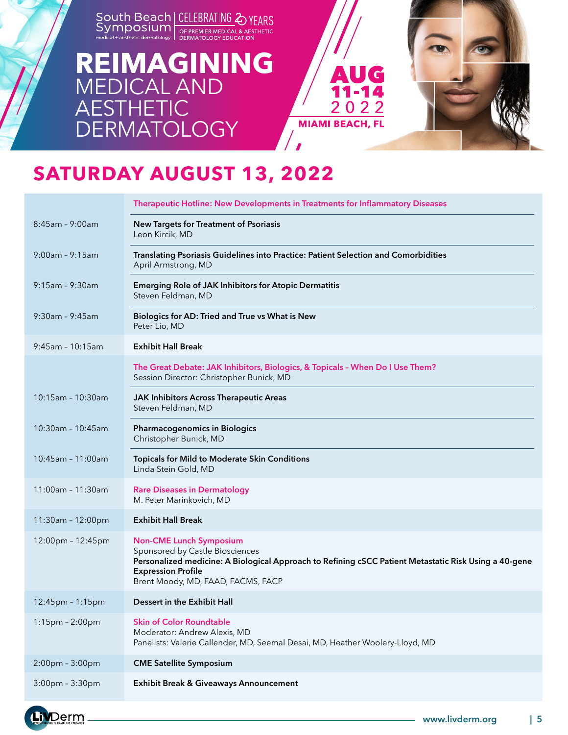### **[REIMAGINING](https://www.livderm.org/south-beach-symposium-2022/)** MEDICAL AND **AESTHETIC DERMATOLOGY**



# **SATURDAY AUGUST 13, 2022**

|                       | Therapeutic Hotline: New Developments in Treatments for Inflammatory Diseases                                                                                                                                                                 |
|-----------------------|-----------------------------------------------------------------------------------------------------------------------------------------------------------------------------------------------------------------------------------------------|
| $8:45$ am - 9:00am    | <b>New Targets for Treatment of Psoriasis</b><br>Leon Kircik, MD                                                                                                                                                                              |
| $9:00$ am - $9:15$ am | Translating Psoriasis Guidelines into Practice: Patient Selection and Comorbidities<br>April Armstrong, MD                                                                                                                                    |
| $9:15$ am - $9:30$ am | <b>Emerging Role of JAK Inhibitors for Atopic Dermatitis</b><br>Steven Feldman, MD                                                                                                                                                            |
| $9:30$ am - $9:45$ am | Biologics for AD: Tried and True vs What is New<br>Peter Lio, MD                                                                                                                                                                              |
| $9:45$ am - 10:15am   | <b>Exhibit Hall Break</b>                                                                                                                                                                                                                     |
|                       | The Great Debate: JAK Inhibitors, Biologics, & Topicals - When Do I Use Them?<br>Session Director: Christopher Bunick, MD                                                                                                                     |
| 10:15am - 10:30am     | <b>JAK Inhibitors Across Therapeutic Areas</b><br>Steven Feldman, MD                                                                                                                                                                          |
| 10:30am - 10:45am     | <b>Pharmacogenomics in Biologics</b><br>Christopher Bunick, MD                                                                                                                                                                                |
| 10:45am - 11:00am     | Topicals for Mild to Moderate Skin Conditions<br>Linda Stein Gold, MD                                                                                                                                                                         |
| 11:00am - 11:30am     | <b>Rare Diseases in Dermatology</b><br>M. Peter Marinkovich, MD                                                                                                                                                                               |
| 11:30am - 12:00pm     | <b>Exhibit Hall Break</b>                                                                                                                                                                                                                     |
| 12:00pm - 12:45pm     | <b>Non-CME Lunch Symposium</b><br>Sponsored by Castle Biosciences<br>Personalized medicine: A Biological Approach to Refining cSCC Patient Metastatic Risk Using a 40-gene<br><b>Expression Profile</b><br>Brent Moody, MD, FAAD, FACMS, FACP |
| 12:45pm - 1:15pm      | Dessert in the Exhibit Hall                                                                                                                                                                                                                   |
| 1:15pm - 2:00pm       | <b>Skin of Color Roundtable</b><br>Moderator: Andrew Alexis, MD<br>Panelists: Valerie Callender, MD, Seemal Desai, MD, Heather Woolery-Lloyd, MD                                                                                              |
| 2:00pm - 3:00pm       | <b>CME Satellite Symposium</b>                                                                                                                                                                                                                |
| 3:00pm - 3:30pm       | <b>Exhibit Break &amp; Giveaways Announcement</b>                                                                                                                                                                                             |

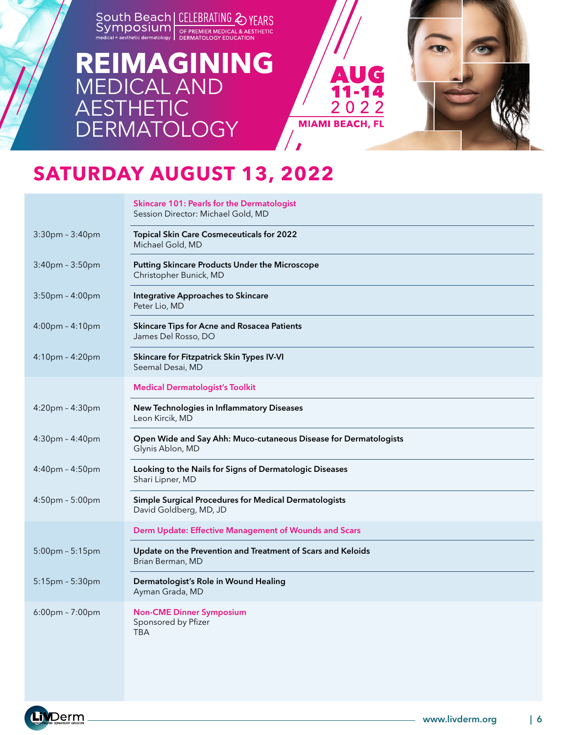### **[REIMAGINING](https://www.livderm.org/south-beach-symposium-2022/)** MEDICAL AND **AESTHETIC DERMATOLOGY**



## **SATURDAY AUGUST 13, 2022**

|                                   | <b>Skincare 101: Pearls for the Dermatologist</b><br>Session Director: Michael Gold, MD |
|-----------------------------------|-----------------------------------------------------------------------------------------|
| $3:30$ pm - $3:40$ pm             | <b>Topical Skin Care Cosmeceuticals for 2022</b><br>Michael Gold, MD                    |
| 3:40pm - 3:50pm                   | <b>Putting Skincare Products Under the Microscope</b><br>Christopher Bunick, MD         |
| $3:50$ pm - $4:00$ pm             | <b>Integrative Approaches to Skincare</b><br>Peter Lio, MD                              |
| 4:00pm - 4:10pm                   | <b>Skincare Tips for Acne and Rosacea Patients</b><br>James Del Rosso, DO               |
| 4:10pm - 4:20pm                   | Skincare for Fitzpatrick Skin Types IV-VI<br>Seemal Desai, MD                           |
|                                   | <b>Medical Dermatologist's Toolkit</b>                                                  |
| $4:20$ pm – $4:30$ pm             | New Technologies in Inflammatory Diseases<br>Leon Kircik, MD                            |
| $4:30$ pm - $4:40$ pm             | Open Wide and Say Ahh: Muco-cutaneous Disease for Dermatologists<br>Glynis Ablon, MD    |
| 4:40pm - 4:50pm                   | Looking to the Nails for Signs of Dermatologic Diseases<br>Shari Lipner, MD             |
| 4:50pm - 5:00pm                   | Simple Surgical Procedures for Medical Dermatologists<br>David Goldberg, MD, JD         |
|                                   | Derm Update: Effective Management of Wounds and Scars                                   |
| 5:00pm - 5:15pm                   | Update on the Prevention and Treatment of Scars and Keloids<br>Brian Berman, MD         |
| 5:15pm - 5:30pm                   | Dermatologist's Role in Wound Healing<br>Ayman Grada, MD                                |
| $6:00 \text{pm} - 7:00 \text{pm}$ | <b>Non-CME Dinner Symposium</b><br>Sponsored by Pfizer<br><b>TBA</b>                    |